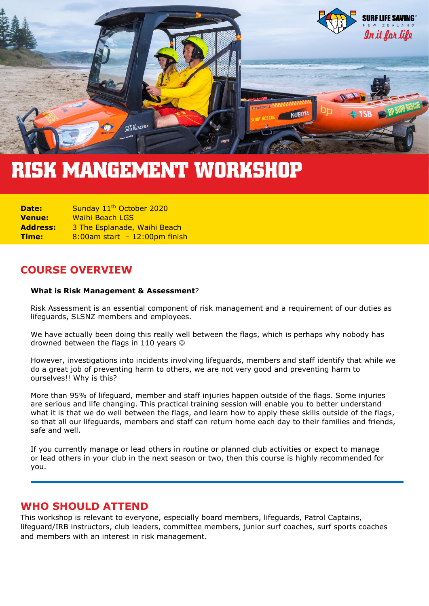

# **RISK MANGEMENT WORKSHOP**

**Date:** Sunday 11<sup>th</sup> October 2020 **Venue:** Waihi Beach LGS **Address:** 3 The Esplanade, Waihi Beach **Time:** 8:00am start - 12:00pm finish

## **COURSE OVERVIEW**

#### **What is Risk Management & Assessment**?

Risk Assessment is an essential component of risk management and a requirement of our duties as lifeguards, SLSNZ members and employees.

We have actually been doing this really well between the flags, which is perhaps why nobody has drowned between the flags in 110 years  $\circledcirc$ 

However, investigations into incidents involving lifeguards, members and staff identify that while we do a great job of preventing harm to others, we are not very good and preventing harm to ourselves!! Why is this?

More than 95% of lifeguard, member and staff injuries happen outside of the flags. Some injuries are serious and life changing. This practical training session will enable you to better understand what it is that we do well between the flags, and learn how to apply these skills outside of the flags, so that all our lifeguards, members and staff can return home each day to their families and friends, safe and well.

If you currently manage or lead others in routine or planned club activities or expect to manage or lead others in your club in the next season or two, then this course is highly recommended for you.

#### **WHO SHOULD ATTEND**

This workshop is relevant to everyone, especially board members, lifeguards, Patrol Captains, lifeguard/IRB instructors, club leaders, committee members, junior surf coaches, surf sports coaches and members with an interest in risk management.